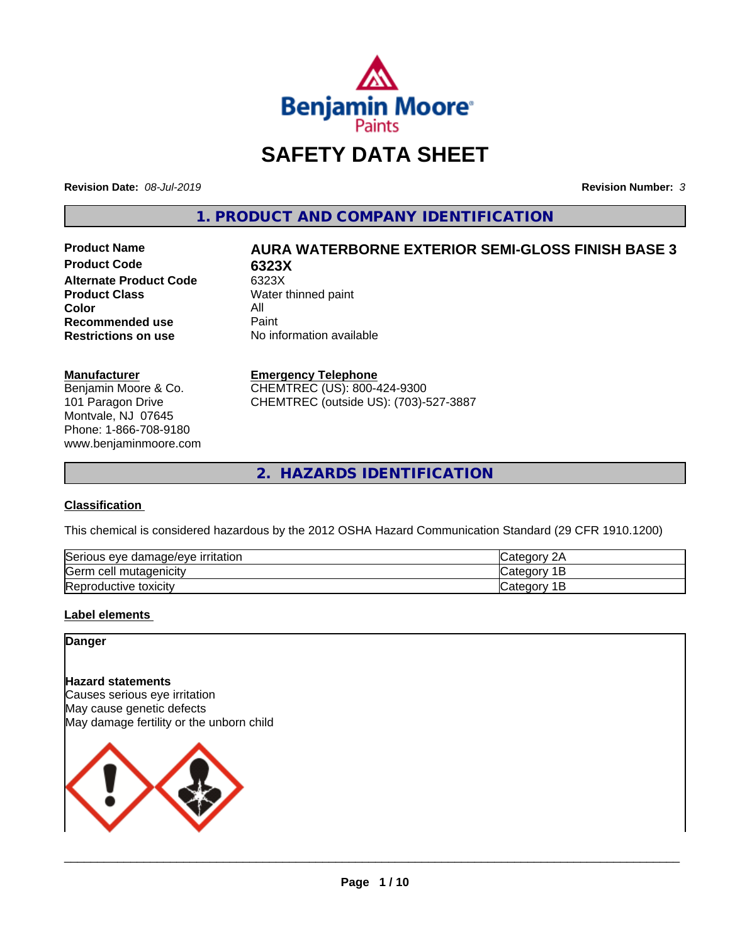

# **SAFETY DATA SHEET**

**Revision Date:** *08-Jul-2019* **Revision Number:** *3*

**1. PRODUCT AND COMPANY IDENTIFICATION**

**Product Code 6323X Alternate Product Code** 6323X<br>**Product Class** Water **Color** All<br> **Recommended use** Paint **Recommended use**<br>Restrictions on use

# **Product Name AURA WATERBORNE EXTERIOR SEMI-GLOSS FINISH BASE 3**

**Water thinned paint No information available** 

#### **Manufacturer**

Benjamin Moore & Co. 101 Paragon Drive Montvale, NJ 07645 Phone: 1-866-708-9180 www.benjaminmoore.com

#### **Emergency Telephone**

CHEMTREC (US): 800-424-9300 CHEMTREC (outside US): (703)-527-3887

**2. HAZARDS IDENTIFICATION**

# **Classification**

This chemical is considered hazardous by the 2012 OSHA Hazard Communication Standard (29 CFR 1910.1200)

| Serious eye damage/eye irritation | Categor<br>۷F   |
|-----------------------------------|-----------------|
| Germ cell<br>mutagenicity         | Categor<br>∙ ⊷  |
| Reproductive toxicity             | ∶atenor∖<br>. . |

# **Label elements**

# **Danger**

# **Hazard statements**

Causes serious eye irritation May cause genetic defects May damage fertility or the unborn child

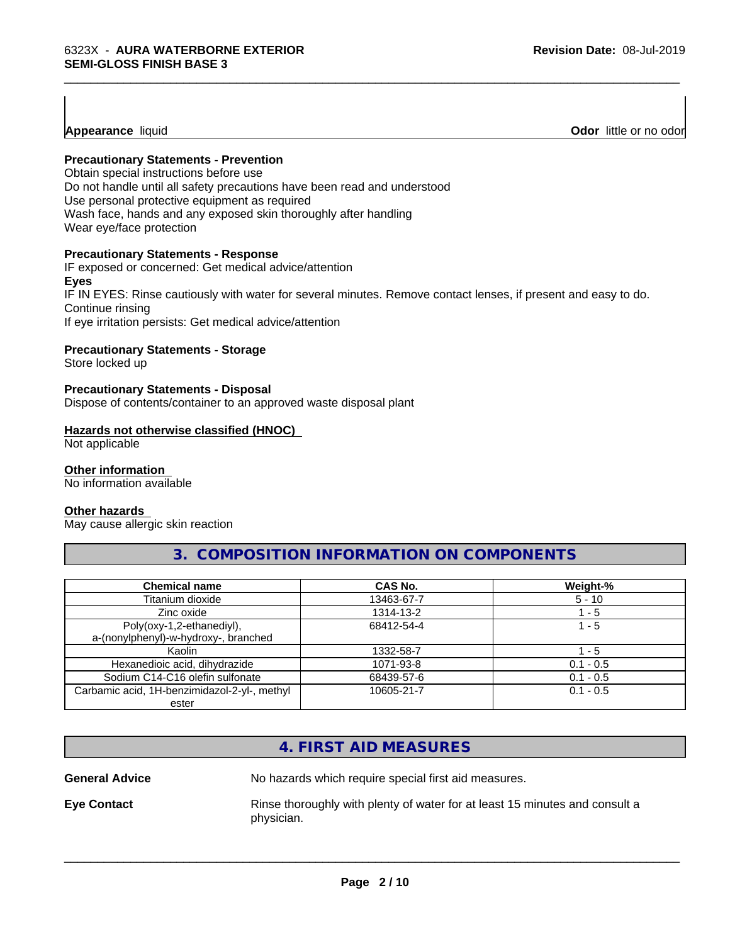# **Appearance** liquid

**Odor** little or no odor

# **Precautionary Statements - Prevention**

Obtain special instructions before use Do not handle until all safety precautions have been read and understood Use personal protective equipment as required Wash face, hands and any exposed skin thoroughly after handling Wear eye/face protection

# **Precautionary Statements - Response**

IF exposed or concerned: Get medical advice/attention **Eyes** IF IN EYES: Rinse cautiously with water for several minutes. Remove contact lenses, if present and easy to do. Continue rinsing If eye irritation persists: Get medical advice/attention

\_\_\_\_\_\_\_\_\_\_\_\_\_\_\_\_\_\_\_\_\_\_\_\_\_\_\_\_\_\_\_\_\_\_\_\_\_\_\_\_\_\_\_\_\_\_\_\_\_\_\_\_\_\_\_\_\_\_\_\_\_\_\_\_\_\_\_\_\_\_\_\_\_\_\_\_\_\_\_\_\_\_\_\_\_\_\_\_\_\_\_\_\_

# **Precautionary Statements - Storage**

Store locked up

# **Precautionary Statements - Disposal**

Dispose of contents/container to an approved waste disposal plant

# **Hazards not otherwise classified (HNOC)**

Not applicable

#### **Other information**

No information available

# **Other hazards**

May cause allergic skin reaction

# **3. COMPOSITION INFORMATION ON COMPONENTS**

| <b>Chemical name</b>                         | CAS No.    | Weight-%    |
|----------------------------------------------|------------|-------------|
| Titanium dioxide                             | 13463-67-7 | $5 - 10$    |
| Zinc oxide                                   | 1314-13-2  | - 5         |
| Poly(oxy-1,2-ethanediyl),                    | 68412-54-4 | 1 - 5       |
| a-(nonylphenyl)-w-hydroxy-, branched         |            |             |
| Kaolin                                       | 1332-58-7  | 1 - 5       |
| Hexanedioic acid, dihydrazide                | 1071-93-8  | $0.1 - 0.5$ |
| Sodium C14-C16 olefin sulfonate              | 68439-57-6 | $0.1 - 0.5$ |
| Carbamic acid, 1H-benzimidazol-2-yl-, methyl | 10605-21-7 | $0.1 - 0.5$ |
| ester                                        |            |             |

# **4. FIRST AID MEASURES**

**General Advice** No hazards which require special first aid measures.

 $\overline{\phantom{a}}$  ,  $\overline{\phantom{a}}$  ,  $\overline{\phantom{a}}$  ,  $\overline{\phantom{a}}$  ,  $\overline{\phantom{a}}$  ,  $\overline{\phantom{a}}$  ,  $\overline{\phantom{a}}$  ,  $\overline{\phantom{a}}$  ,  $\overline{\phantom{a}}$  ,  $\overline{\phantom{a}}$  ,  $\overline{\phantom{a}}$  ,  $\overline{\phantom{a}}$  ,  $\overline{\phantom{a}}$  ,  $\overline{\phantom{a}}$  ,  $\overline{\phantom{a}}$  ,  $\overline{\phantom{a}}$ 

**Eye Contact Rinse thoroughly with plenty of water for at least 15 minutes and consult a** physician.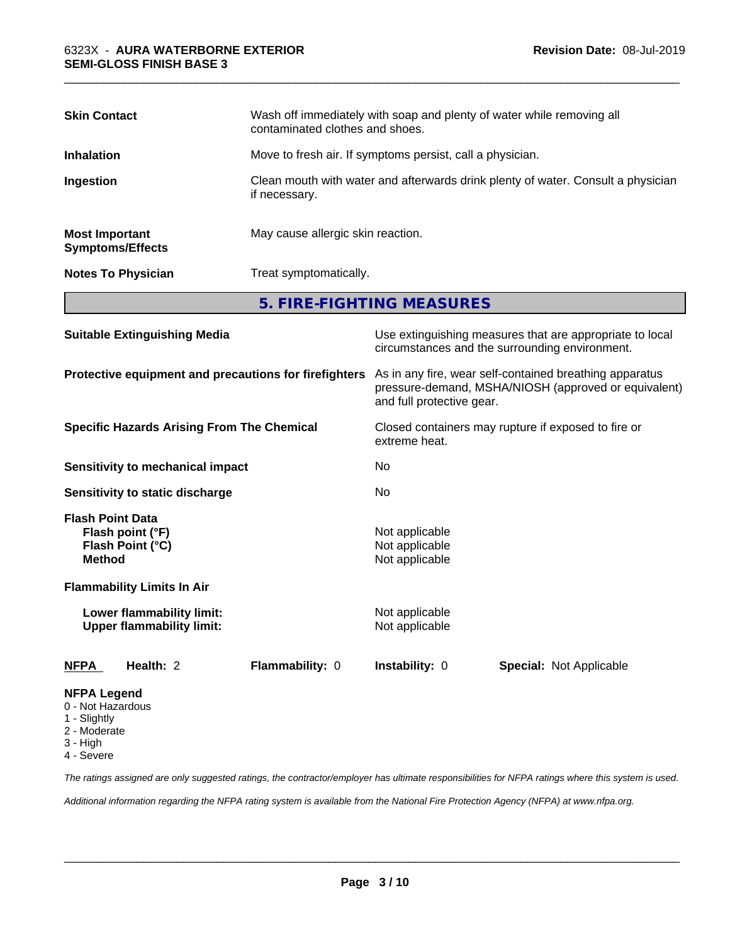| <b>Skin Contact</b>                              | Wash off immediately with soap and plenty of water while removing all<br>contaminated clothes and shoes. |
|--------------------------------------------------|----------------------------------------------------------------------------------------------------------|
| <b>Inhalation</b>                                | Move to fresh air. If symptoms persist, call a physician.                                                |
| Ingestion                                        | Clean mouth with water and afterwards drink plenty of water. Consult a physician<br>if necessary.        |
| <b>Most Important</b><br><b>Symptoms/Effects</b> | May cause allergic skin reaction.                                                                        |
| <b>Notes To Physician</b>                        | Treat symptomatically.                                                                                   |

\_\_\_\_\_\_\_\_\_\_\_\_\_\_\_\_\_\_\_\_\_\_\_\_\_\_\_\_\_\_\_\_\_\_\_\_\_\_\_\_\_\_\_\_\_\_\_\_\_\_\_\_\_\_\_\_\_\_\_\_\_\_\_\_\_\_\_\_\_\_\_\_\_\_\_\_\_\_\_\_\_\_\_\_\_\_\_\_\_\_\_\_\_

**5. FIRE-FIGHTING MEASURES**

| <b>Suitable Extinguishing Media</b>                                              | Use extinguishing measures that are appropriate to local<br>circumstances and the surrounding environment.                                   |
|----------------------------------------------------------------------------------|----------------------------------------------------------------------------------------------------------------------------------------------|
| Protective equipment and precautions for firefighters                            | As in any fire, wear self-contained breathing apparatus<br>pressure-demand, MSHA/NIOSH (approved or equivalent)<br>and full protective gear. |
| <b>Specific Hazards Arising From The Chemical</b>                                | Closed containers may rupture if exposed to fire or<br>extreme heat.                                                                         |
| Sensitivity to mechanical impact                                                 | No                                                                                                                                           |
| Sensitivity to static discharge                                                  | No.                                                                                                                                          |
| <b>Flash Point Data</b><br>Flash point (°F)<br>Flash Point (°C)<br><b>Method</b> | Not applicable<br>Not applicable<br>Not applicable                                                                                           |
| <b>Flammability Limits In Air</b>                                                |                                                                                                                                              |
| Lower flammability limit:<br><b>Upper flammability limit:</b>                    | Not applicable<br>Not applicable                                                                                                             |
| Health: 2<br><b>Flammability: 0</b><br><b>NFPA</b>                               | <b>Instability: 0</b><br>Special: Not Applicable                                                                                             |
| <b>NFPA Legend</b><br>0 - Not Hazardous<br>1 - Slightly                          |                                                                                                                                              |

- 
- 2 Moderate
- 3 High

4 - Severe

*The ratings assigned are only suggested ratings, the contractor/employer has ultimate responsibilities for NFPA ratings where this system is used.*

*Additional information regarding the NFPA rating system is available from the National Fire Protection Agency (NFPA) at www.nfpa.org.*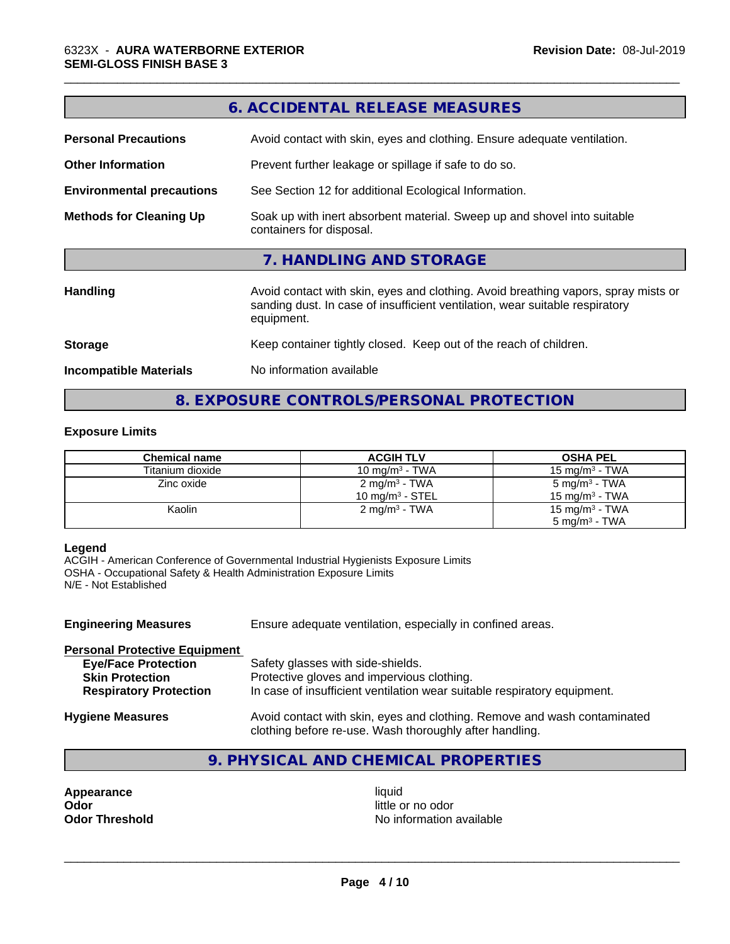| <b>Personal Precautions</b>      | Avoid contact with skin, eyes and clothing. Ensure adequate ventilation.                                                                                                         |
|----------------------------------|----------------------------------------------------------------------------------------------------------------------------------------------------------------------------------|
| <b>Other Information</b>         | Prevent further leakage or spillage if safe to do so.                                                                                                                            |
| <b>Environmental precautions</b> | See Section 12 for additional Ecological Information.                                                                                                                            |
| <b>Methods for Cleaning Up</b>   | Soak up with inert absorbent material. Sweep up and shovel into suitable<br>containers for disposal.                                                                             |
|                                  | 7. HANDLING AND STORAGE                                                                                                                                                          |
| <b>Handling</b>                  | Avoid contact with skin, eyes and clothing. Avoid breathing vapors, spray mists or<br>sanding dust. In case of insufficient ventilation, wear suitable respiratory<br>equipment. |
| <b>Storage</b>                   | Keep container tightly closed. Keep out of the reach of children.                                                                                                                |
| <b>Incompatible Materials</b>    | No information available                                                                                                                                                         |
|                                  |                                                                                                                                                                                  |

**6. ACCIDENTAL RELEASE MEASURES**

\_\_\_\_\_\_\_\_\_\_\_\_\_\_\_\_\_\_\_\_\_\_\_\_\_\_\_\_\_\_\_\_\_\_\_\_\_\_\_\_\_\_\_\_\_\_\_\_\_\_\_\_\_\_\_\_\_\_\_\_\_\_\_\_\_\_\_\_\_\_\_\_\_\_\_\_\_\_\_\_\_\_\_\_\_\_\_\_\_\_\_\_\_

**8. EXPOSURE CONTROLS/PERSONAL PROTECTION**

# **Exposure Limits**

| <b>Chemical name</b> | <b>ACGIH TLV</b>            | <b>OSHA PEL</b>            |
|----------------------|-----------------------------|----------------------------|
| Titanium dioxide     | 10 mg/m $3$ - TWA           | 15 mg/m $3$ - TWA          |
| Zinc oxide           | 2 mg/m <sup>3</sup> - TWA   | 5 mg/m <sup>3</sup> - TWA  |
|                      | 10 mg/m <sup>3</sup> - STEL | 15 mg/m $3$ - TWA          |
| Kaolin               | $2 \text{ mg/m}^3$ - TWA    | 15 mg/m <sup>3</sup> - TWA |
|                      |                             | $5 \text{ ma/m}^3$ - TWA   |

# **Legend**

ACGIH - American Conference of Governmental Industrial Hygienists Exposure Limits OSHA - Occupational Safety & Health Administration Exposure Limits N/E - Not Established

| <b>Engineering Measures</b>                                                                                                   | Ensure adequate ventilation, especially in confined areas.                                                                                                  |
|-------------------------------------------------------------------------------------------------------------------------------|-------------------------------------------------------------------------------------------------------------------------------------------------------------|
| <b>Personal Protective Equipment</b><br><b>Eye/Face Protection</b><br><b>Skin Protection</b><br><b>Respiratory Protection</b> | Safety glasses with side-shields.<br>Protective gloves and impervious clothing.<br>In case of insufficient ventilation wear suitable respiratory equipment. |
| <b>Hygiene Measures</b>                                                                                                       | Avoid contact with skin, eyes and clothing. Remove and wash contaminated<br>clothing before re-use. Wash thoroughly after handling.                         |

# **9. PHYSICAL AND CHEMICAL PROPERTIES**

**Appearance** liquid **and a set of the contract of the contract of the contract of the contract of the contract of the contract of the contract of the contract of the contract of the contract of the contract of the contract Odor Odor** little or no odor<br> **Odor Threshold Containery of the Containery of the Containery of the Containery of the Containery of the Containery of the Containery of the Containery of the Containery of the Container** 

**No information available**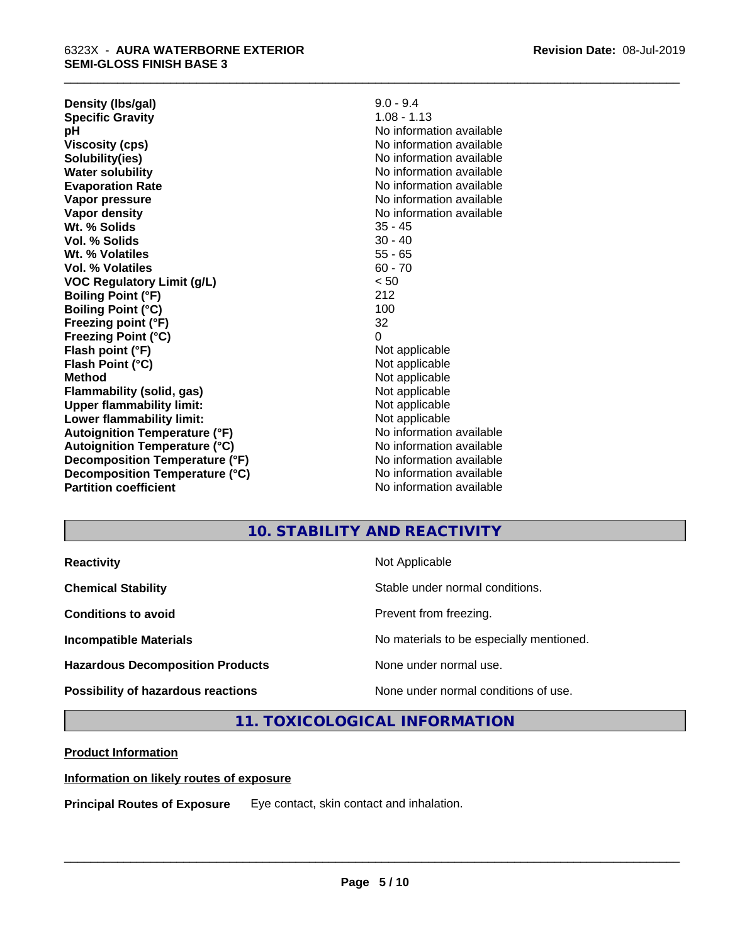| Density (Ibs/gal)                    | $9.0 - 9.4$              |
|--------------------------------------|--------------------------|
| <b>Specific Gravity</b>              | $1.08 - 1.13$            |
| рH                                   | No information available |
| <b>Viscosity (cps)</b>               | No information available |
| Solubility(ies)                      | No information available |
| <b>Water solubility</b>              | No information available |
| <b>Evaporation Rate</b>              | No information available |
| Vapor pressure                       | No information available |
| Vapor density                        | No information available |
| Wt. % Solids                         | $35 - 45$                |
| Vol. % Solids                        | $30 - 40$                |
| Wt. % Volatiles                      | $55 - 65$                |
| Vol. % Volatiles                     | $60 - 70$                |
| <b>VOC Regulatory Limit (g/L)</b>    | < 50                     |
| <b>Boiling Point (°F)</b>            | 212                      |
| <b>Boiling Point (°C)</b>            | 100                      |
| Freezing point (°F)                  | 32                       |
| <b>Freezing Point (°C)</b>           | 0                        |
| Flash point (°F)                     | Not applicable           |
| Flash Point (°C)                     | Not applicable           |
| <b>Method</b>                        | Not applicable           |
| Flammability (solid, gas)            | Not applicable           |
| <b>Upper flammability limit:</b>     | Not applicable           |
| Lower flammability limit:            | Not applicable           |
| <b>Autoignition Temperature (°F)</b> | No information available |
| <b>Autoignition Temperature (°C)</b> | No information available |
| Decomposition Temperature (°F)       | No information available |
| Decomposition Temperature (°C)       | No information available |
| <b>Partition coefficient</b>         | No information available |

# **10. STABILITY AND REACTIVITY**

\_\_\_\_\_\_\_\_\_\_\_\_\_\_\_\_\_\_\_\_\_\_\_\_\_\_\_\_\_\_\_\_\_\_\_\_\_\_\_\_\_\_\_\_\_\_\_\_\_\_\_\_\_\_\_\_\_\_\_\_\_\_\_\_\_\_\_\_\_\_\_\_\_\_\_\_\_\_\_\_\_\_\_\_\_\_\_\_\_\_\_\_\_

| <b>Reactivity</b>                       | Not Applicable                           |
|-----------------------------------------|------------------------------------------|
| <b>Chemical Stability</b>               | Stable under normal conditions.          |
| <b>Conditions to avoid</b>              | Prevent from freezing.                   |
| <b>Incompatible Materials</b>           | No materials to be especially mentioned. |
| <b>Hazardous Decomposition Products</b> | None under normal use.                   |
| Possibility of hazardous reactions      | None under normal conditions of use.     |

# **11. TOXICOLOGICAL INFORMATION**

# **Product Information**

# **Information on likely routes of exposure**

**Principal Routes of Exposure** Eye contact, skin contact and inhalation.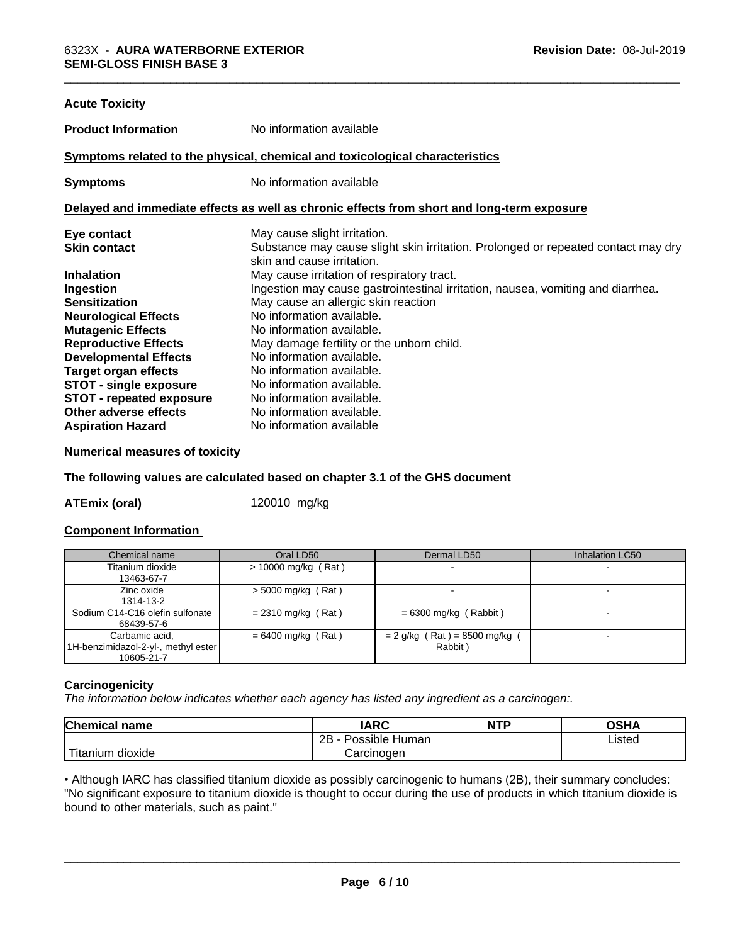| No information available<br><b>Product Information</b><br>Symptoms related to the physical, chemical and toxicological characteristics<br>No information available<br><b>Symptoms</b><br>Delayed and immediate effects as well as chronic effects from short and long-term exposure<br>Eye contact<br>May cause slight irritation.<br>Substance may cause slight skin irritation. Prolonged or repeated contact may dry<br><b>Skin contact</b><br>skin and cause irritation.<br><b>Inhalation</b><br>May cause irritation of respiratory tract. |  |
|-------------------------------------------------------------------------------------------------------------------------------------------------------------------------------------------------------------------------------------------------------------------------------------------------------------------------------------------------------------------------------------------------------------------------------------------------------------------------------------------------------------------------------------------------|--|
|                                                                                                                                                                                                                                                                                                                                                                                                                                                                                                                                                 |  |
|                                                                                                                                                                                                                                                                                                                                                                                                                                                                                                                                                 |  |
|                                                                                                                                                                                                                                                                                                                                                                                                                                                                                                                                                 |  |
|                                                                                                                                                                                                                                                                                                                                                                                                                                                                                                                                                 |  |
|                                                                                                                                                                                                                                                                                                                                                                                                                                                                                                                                                 |  |
|                                                                                                                                                                                                                                                                                                                                                                                                                                                                                                                                                 |  |
| Ingestion may cause gastrointestinal irritation, nausea, vomiting and diarrhea.<br>Ingestion                                                                                                                                                                                                                                                                                                                                                                                                                                                    |  |
| <b>Sensitization</b><br>May cause an allergic skin reaction<br>No information available.<br><b>Neurological Effects</b>                                                                                                                                                                                                                                                                                                                                                                                                                         |  |
| <b>Mutagenic Effects</b><br>No information available.<br><b>Reproductive Effects</b><br>May damage fertility or the unborn child.<br>No information available.<br><b>Developmental Effects</b>                                                                                                                                                                                                                                                                                                                                                  |  |
| No information available.<br><b>Target organ effects</b><br><b>STOT - single exposure</b><br>No information available.                                                                                                                                                                                                                                                                                                                                                                                                                          |  |
| No information available.<br><b>STOT - repeated exposure</b><br>Other adverse effects<br>No information available.<br>No information available<br><b>Aspiration Hazard</b>                                                                                                                                                                                                                                                                                                                                                                      |  |

# **Numerical measures of toxicity**

**The following values are calculated based on chapter 3.1 of the GHS document**

**ATEmix (oral)** 120010 mg/kg

# **Component Information**

| Chemical name                                                         | Oral LD50             | Dermal LD50                              | Inhalation LC50 |
|-----------------------------------------------------------------------|-----------------------|------------------------------------------|-----------------|
| Titanium dioxide<br>13463-67-7                                        | $> 10000$ mg/kg (Rat) |                                          |                 |
| Zinc oxide<br>1314-13-2                                               | $>$ 5000 mg/kg (Rat)  |                                          |                 |
| Sodium C14-C16 olefin sulfonate<br>68439-57-6                         | $= 2310$ mg/kg (Rat)  | $= 6300$ mg/kg (Rabbit)                  |                 |
| Carbamic acid.<br>[1H-benzimidazol-2-yl-, methyl ester]<br>10605-21-7 | $= 6400$ mg/kg (Rat)  | $= 2$ g/kg (Rat) = 8500 mg/kg<br>Rabbit) |                 |

# **Carcinogenicity**

*The information below indicateswhether each agency has listed any ingredient as a carcinogen:.*

| Chemical<br>∣ name                                                                                                                              | <b>IARC</b>               | <b>NTP</b> | OSHA   |
|-------------------------------------------------------------------------------------------------------------------------------------------------|---------------------------|------------|--------|
|                                                                                                                                                 | .<br>2B<br>Possible Human |            | Listed |
| <b>The Contract of the Contract of the Contract of the Contract of the Contract of the Contract of the Contract o</b><br>n dioxide<br>l itanium | Carcinogen                |            |        |

• Although IARC has classified titanium dioxide as possibly carcinogenic to humans (2B), their summary concludes: "No significant exposure to titanium dioxide is thought to occur during the use of products in which titanium dioxide is bound to other materials, such as paint."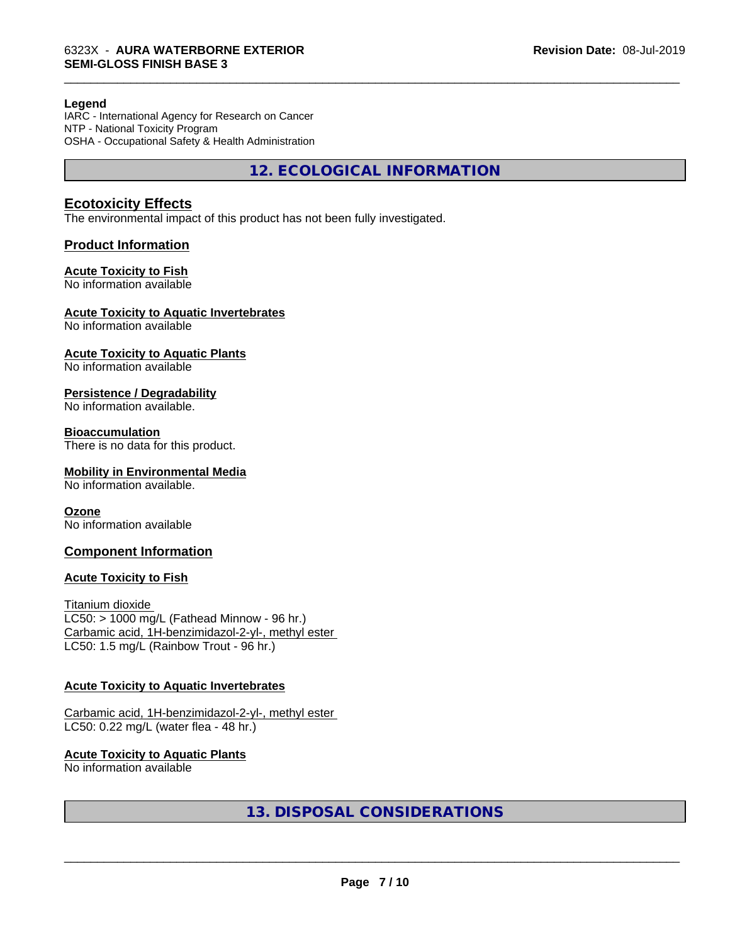#### **Legend**

IARC - International Agency for Research on Cancer NTP - National Toxicity Program OSHA - Occupational Safety & Health Administration

**12. ECOLOGICAL INFORMATION**

\_\_\_\_\_\_\_\_\_\_\_\_\_\_\_\_\_\_\_\_\_\_\_\_\_\_\_\_\_\_\_\_\_\_\_\_\_\_\_\_\_\_\_\_\_\_\_\_\_\_\_\_\_\_\_\_\_\_\_\_\_\_\_\_\_\_\_\_\_\_\_\_\_\_\_\_\_\_\_\_\_\_\_\_\_\_\_\_\_\_\_\_\_

# **Ecotoxicity Effects**

The environmental impact of this product has not been fully investigated.

# **Product Information**

#### **Acute Toxicity to Fish**

No information available

# **Acute Toxicity to Aquatic Invertebrates**

No information available

# **Acute Toxicity to Aquatic Plants**

No information available

# **Persistence / Degradability**

No information available.

# **Bioaccumulation**

There is no data for this product.

# **Mobility in Environmental Media**

No information available.

# **Ozone**

No information available

# **Component Information**

# **Acute Toxicity to Fish**

Titanium dioxide  $LC50:$  > 1000 mg/L (Fathead Minnow - 96 hr.) Carbamic acid, 1H-benzimidazol-2-yl-, methyl ester LC50: 1.5 mg/L (Rainbow Trout - 96 hr.)

# **Acute Toxicity to Aquatic Invertebrates**

```
Carbamic acid, 1H-benzimidazol-2-yl-, methyl ester
LC50: 0.22 mg/L (water flea - 48 hr.)
```
# **Acute Toxicity to Aquatic Plants**

No information available

# **13. DISPOSAL CONSIDERATIONS**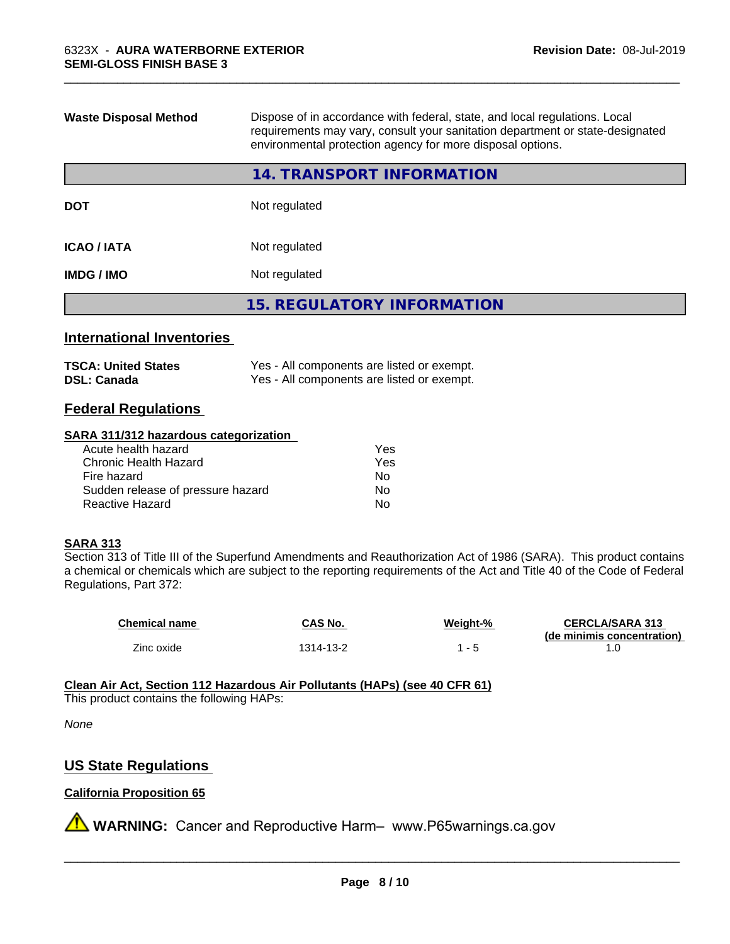| <b>Waste Disposal Method</b>     | Dispose of in accordance with federal, state, and local regulations. Local<br>requirements may vary, consult your sanitation department or state-designated<br>environmental protection agency for more disposal options. |  |
|----------------------------------|---------------------------------------------------------------------------------------------------------------------------------------------------------------------------------------------------------------------------|--|
|                                  | 14. TRANSPORT INFORMATION                                                                                                                                                                                                 |  |
| <b>DOT</b>                       | Not regulated                                                                                                                                                                                                             |  |
| <b>ICAO/IATA</b>                 | Not regulated                                                                                                                                                                                                             |  |
| <b>IMDG/IMO</b>                  | Not regulated                                                                                                                                                                                                             |  |
|                                  | <b>15. REGULATORY INFORMATION</b>                                                                                                                                                                                         |  |
| <b>International Inventories</b> |                                                                                                                                                                                                                           |  |

\_\_\_\_\_\_\_\_\_\_\_\_\_\_\_\_\_\_\_\_\_\_\_\_\_\_\_\_\_\_\_\_\_\_\_\_\_\_\_\_\_\_\_\_\_\_\_\_\_\_\_\_\_\_\_\_\_\_\_\_\_\_\_\_\_\_\_\_\_\_\_\_\_\_\_\_\_\_\_\_\_\_\_\_\_\_\_\_\_\_\_\_\_

| TSCA: United States | Yes - All components are listed or exempt. |
|---------------------|--------------------------------------------|
| DSL: Canada         | Yes - All components are listed or exempt. |

# **Federal Regulations**

### **SARA 311/312 hazardous categorization**

| Acute health hazard               | Yes |  |
|-----------------------------------|-----|--|
| Chronic Health Hazard             | Yes |  |
| Fire hazard                       | No  |  |
| Sudden release of pressure hazard | Nο  |  |
| Reactive Hazard                   | Nο  |  |

# **SARA 313**

Section 313 of Title III of the Superfund Amendments and Reauthorization Act of 1986 (SARA). This product contains a chemical or chemicals which are subject to the reporting requirements of the Act and Title 40 of the Code of Federal Regulations, Part 372:

| <b>Chemical name</b> | <b>CAS No.</b> | Weight-% | <b>CERCLA/SARA 313</b>     |
|----------------------|----------------|----------|----------------------------|
|                      |                |          | (de minimis concentration) |
| Zinc oxide           | 1314-13-2      |          |                            |

# **Clean Air Act,Section 112 Hazardous Air Pollutants (HAPs) (see 40 CFR 61)**

This product contains the following HAPs:

*None*

# **US State Regulations**

# **California Proposition 65**

**A WARNING:** Cancer and Reproductive Harm– www.P65warnings.ca.gov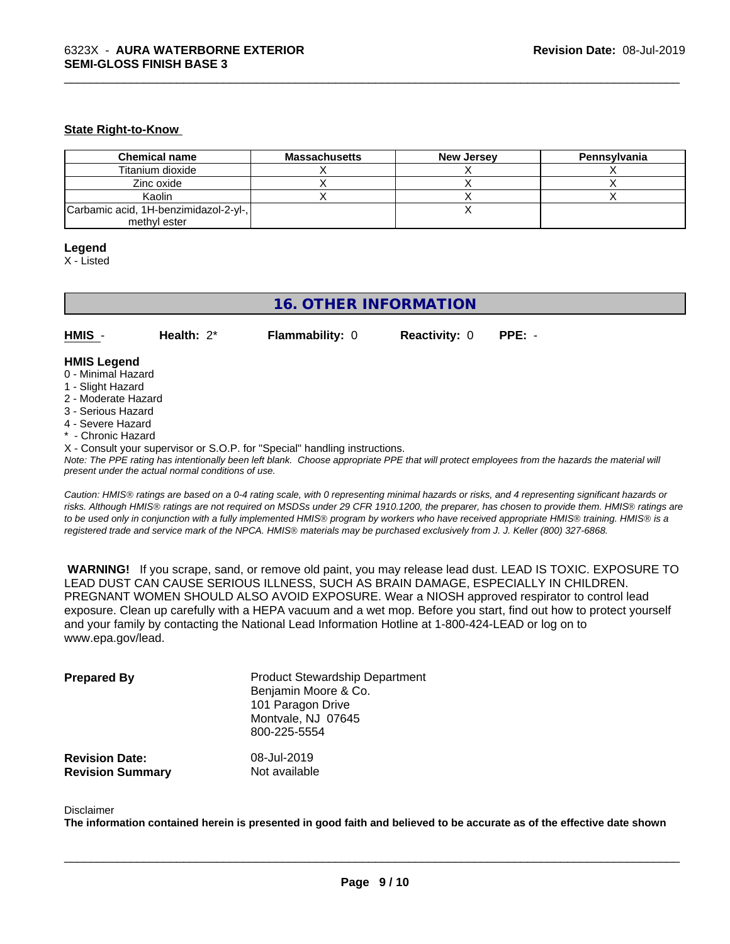#### **State Right-to-Know**

| <b>Chemical name</b>                  | <b>Massachusetts</b> | <b>New Jersey</b> | Pennsylvania |
|---------------------------------------|----------------------|-------------------|--------------|
| Titanium dioxide                      |                      |                   |              |
| Zinc oxide                            |                      |                   |              |
| Kaolin                                |                      |                   |              |
| Carbamic acid, 1H-benzimidazol-2-yl-, |                      |                   |              |
| methyl ester                          |                      |                   |              |

\_\_\_\_\_\_\_\_\_\_\_\_\_\_\_\_\_\_\_\_\_\_\_\_\_\_\_\_\_\_\_\_\_\_\_\_\_\_\_\_\_\_\_\_\_\_\_\_\_\_\_\_\_\_\_\_\_\_\_\_\_\_\_\_\_\_\_\_\_\_\_\_\_\_\_\_\_\_\_\_\_\_\_\_\_\_\_\_\_\_\_\_\_

#### **Legend**

X - Listed

# **16. OTHER INFORMATION**

**HMIS** - **Health:** 2\* **Flammability:** 0 **Reactivity:** 0 **PPE:** -

#### **HMIS Legend**

- 0 Minimal Hazard
- 1 Slight Hazard
- 2 Moderate Hazard
- 3 Serious Hazard
- 4 Severe Hazard
- Chronic Hazard
- X Consult your supervisor or S.O.P. for "Special" handling instructions.

*Note: The PPE rating has intentionally been left blank. Choose appropriate PPE that will protect employees from the hazards the material will present under the actual normal conditions of use.*

*Caution: HMISÒ ratings are based on a 0-4 rating scale, with 0 representing minimal hazards or risks, and 4 representing significant hazards or risks. Although HMISÒ ratings are not required on MSDSs under 29 CFR 1910.1200, the preparer, has chosen to provide them. HMISÒ ratings are to be used only in conjunction with a fully implemented HMISÒ program by workers who have received appropriate HMISÒ training. HMISÒ is a registered trade and service mark of the NPCA. HMISÒ materials may be purchased exclusively from J. J. Keller (800) 327-6868.*

 **WARNING!** If you scrape, sand, or remove old paint, you may release lead dust. LEAD IS TOXIC. EXPOSURE TO LEAD DUST CAN CAUSE SERIOUS ILLNESS, SUCH AS BRAIN DAMAGE, ESPECIALLY IN CHILDREN. PREGNANT WOMEN SHOULD ALSO AVOID EXPOSURE. Wear a NIOSH approved respirator to control lead exposure. Clean up carefully with a HEPA vacuum and a wet mop. Before you start, find out how to protect yourself and your family by contacting the National Lead Information Hotline at 1-800-424-LEAD or log on to www.epa.gov/lead.

| <b>Prepared By</b>                               | <b>Product Stewardship Department</b><br>Benjamin Moore & Co.<br>101 Paragon Drive<br>Montvale, NJ 07645<br>800-225-5554 |  |
|--------------------------------------------------|--------------------------------------------------------------------------------------------------------------------------|--|
| <b>Revision Date:</b><br><b>Revision Summary</b> | 08-Jul-2019<br>Not available                                                                                             |  |

#### Disclaimer

The information contained herein is presented in good faith and believed to be accurate as of the effective date shown